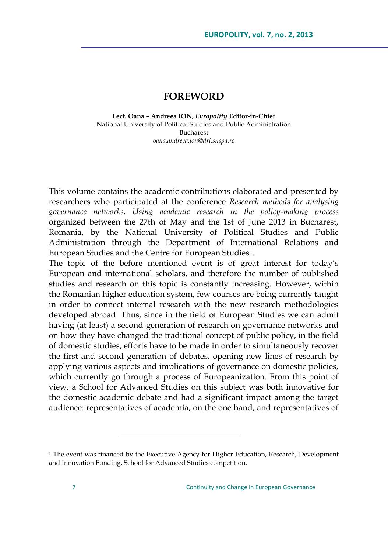## **FOREWORD**

**Lect. Oana – Andreea ION,** *Europolity* **Editor-in-Chief** National University of Political Studies and Public Administration Bucharest *oana.andreea.ion@dri.snspa.ro*

This volume contains the academic contributions elaborated and presented by researchers who participated at the conference *Research methods for analysing governance networks. Using academic research in the policy-making process* organized between the 27th of May and the 1st of June 2013 in Bucharest, Romania, by the National University of Political Studies and Public Administration through the Department of International Relations and European Studies and the Centre for European Studies<sup>1</sup> .

The topic of the before mentioned event is of great interest for today"s European and international scholars, and therefore the number of published studies and research on this topic is constantly increasing. However, within the Romanian higher education system, few courses are being currently taught in order to connect internal research with the new research methodologies developed abroad. Thus, since in the field of European Studies we can admit having (at least) a second-generation of research on governance networks and on how they have changed the traditional concept of public policy, in the field of domestic studies, efforts have to be made in order to simultaneously recover the first and second generation of debates, opening new lines of research by applying various aspects and implications of governance on domestic policies, which currently go through a process of Europeanization. From this point of view, a School for Advanced Studies on this subject was both innovative for the domestic academic debate and had a significant impact among the target audience: representatives of academia, on the one hand, and representatives of

 $\overline{a}$ 

<sup>&</sup>lt;sup>1</sup> The event was financed by the Executive Agency for Higher Education, Research, Development and Innovation Funding, School for Advanced Studies competition.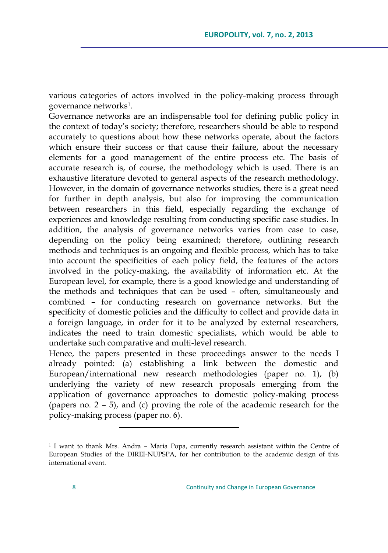various categories of actors involved in the policy-making process through governance networks<sup>1</sup>.

Governance networks are an indispensable tool for defining public policy in the context of today"s society; therefore, researchers should be able to respond accurately to questions about how these networks operate, about the factors which ensure their success or that cause their failure, about the necessary elements for a good management of the entire process etc. The basis of accurate research is, of course, the methodology which is used. There is an exhaustive literature devoted to general aspects of the research methodology. However, in the domain of governance networks studies, there is a great need for further in depth analysis, but also for improving the communication between researchers in this field, especially regarding the exchange of experiences and knowledge resulting from conducting specific case studies. In addition, the analysis of governance networks varies from case to case, depending on the policy being examined; therefore, outlining research methods and techniques is an ongoing and flexible process, which has to take into account the specificities of each policy field, the features of the actors involved in the policy-making, the availability of information etc. At the European level, for example, there is a good knowledge and understanding of the methods and techniques that can be used – often, simultaneously and combined – for conducting research on governance networks. But the specificity of domestic policies and the difficulty to collect and provide data in a foreign language, in order for it to be analyzed by external researchers, indicates the need to train domestic specialists, which would be able to undertake such comparative and multi-level research.

Hence, the papers presented in these proceedings answer to the needs I already pointed: (a) establishing a link between the domestic and European/international new research methodologies (paper no. 1), (b) underlying the variety of new research proposals emerging from the application of governance approaches to domestic policy-making process (papers no. 2 – 5), and (c) proving the role of the academic research for the policy-making process (paper no. 6).

 $\overline{a}$ 

<sup>1</sup> I want to thank Mrs. Andra – Maria Popa, currently research assistant within the Centre of European Studies of the DIREI-NUPSPA, for her contribution to the academic design of this international event.